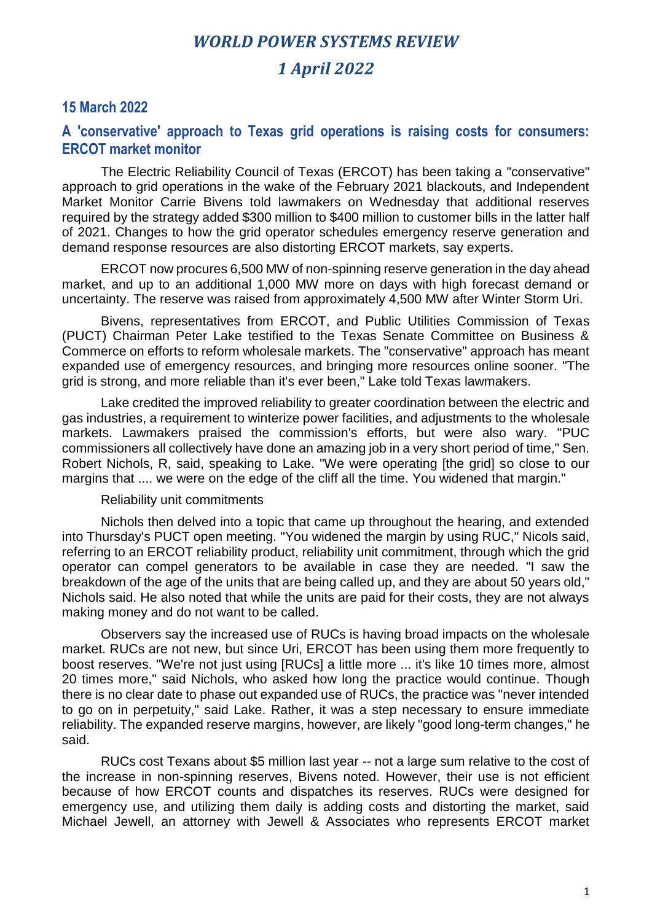#### **15 March 2022**

#### **A 'conservative' approach to Texas grid operations is raising costs for consumers: ERCOT market monitor**

The Electric Reliability Council of Texas (ERCOT) has been taking a "conservative" approach to grid operations in the wake of the February 2021 blackouts, and Independent Market Monitor Carrie Bivens told lawmakers on Wednesday that additional reserves required by the strategy added \$300 million to \$400 million to customer bills in the latter half of 2021. Changes to how the grid operator schedules emergency reserve generation and demand response resources are also distorting ERCOT markets, say experts.

ERCOT now procures 6,500 MW of non-spinning reserve generation in the day ahead market, and up to an additional 1,000 MW more on days with high forecast demand or uncertainty. The reserve was raised from approximately 4,500 MW after Winter Storm Uri.

Bivens, representatives from ERCOT, and Public Utilities Commission of Texas (PUCT) Chairman Peter Lake testified to the Texas Senate Committee on Business & Commerce on efforts to reform wholesale markets. The "conservative" approach has meant expanded use of emergency resources, and bringing more resources online sooner. "The grid is strong, and more reliable than it's ever been," Lake told Texas lawmakers.

Lake credited the improved reliability to greater coordination between the electric and gas industries, a requirement to winterize power facilities, and adjustments to the wholesale markets. Lawmakers praised the commission's efforts, but were also wary. "PUC commissioners all collectively have done an amazing job in a very short period of time," Sen. Robert Nichols, R, said, speaking to Lake. "We were operating [the grid] so close to our margins that .... we were on the edge of the cliff all the time. You widened that margin."

#### Reliability unit commitments

Nichols then delved into a topic that came up throughout the hearing, and extended into Thursday's PUCT open meeting. "You widened the margin by using RUC," Nicols said, referring to an ERCOT reliability product, reliability unit commitment, through which the grid operator can compel generators to be available in case they are needed. "I saw the breakdown of the age of the units that are being called up, and they are about 50 years old," Nichols said. He also noted that while the units are paid for their costs, they are not always making money and do not want to be called.

Observers say the increased use of RUCs is having broad impacts on the wholesale market. RUCs are not new, but since Uri, ERCOT has been using them more frequently to boost reserves. "We're not just using [RUCs] a little more ... it's like 10 times more, almost 20 times more," said Nichols, who asked how long the practice would continue. Though there is no clear date to phase out expanded use of RUCs, the practice was "never intended to go on in perpetuity," said Lake. Rather, it was a step necessary to ensure immediate reliability. The expanded reserve margins, however, are likely "good long-term changes," he said.

RUCs cost Texans about \$5 million last year -- not a large sum relative to the cost of the increase in non-spinning reserves, Bivens noted. However, their use is not efficient because of how ERCOT counts and dispatches its reserves. RUCs were designed for emergency use, and utilizing them daily is adding costs and distorting the market, said Michael Jewell, an attorney with Jewell & Associates who represents ERCOT market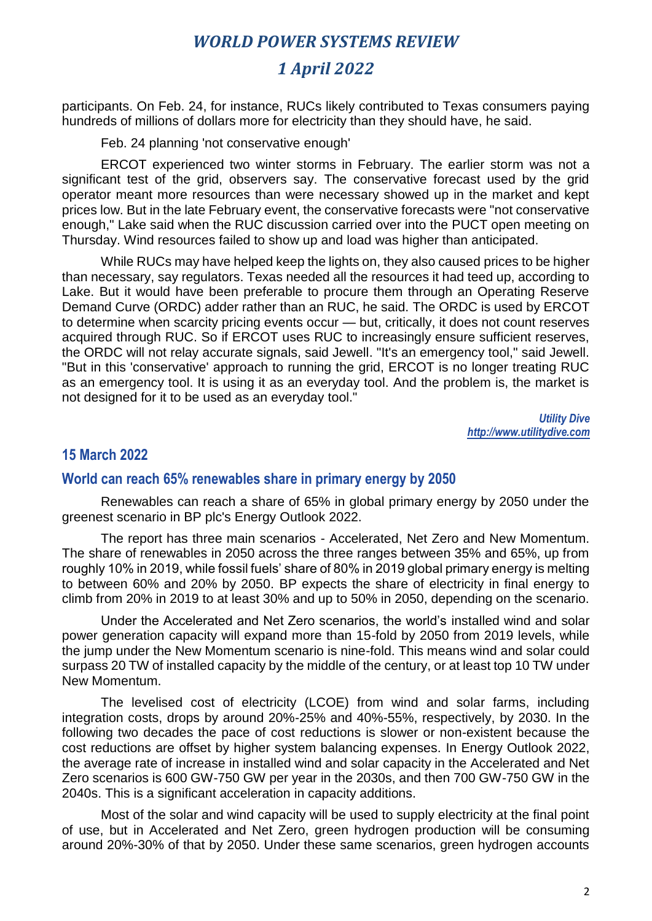## *1 April 2022*

participants. On Feb. 24, for instance, RUCs likely contributed to Texas consumers paying hundreds of millions of dollars more for electricity than they should have, he said.

Feb. 24 planning 'not conservative enough'

ERCOT experienced two winter storms in February. The earlier storm was not a significant test of the grid, observers say. The conservative forecast used by the grid operator meant more resources than were necessary showed up in the market and kept prices low. But in the late February event, the conservative forecasts were "not conservative enough," Lake said when the RUC discussion carried over into the PUCT open meeting on Thursday. Wind resources failed to show up and load was higher than anticipated.

While RUCs may have helped keep the lights on, they also caused prices to be higher than necessary, say regulators. Texas needed all the resources it had teed up, according to Lake. But it would have been preferable to procure them through an Operating Reserve Demand Curve (ORDC) adder rather than an RUC, he said. The ORDC is used by ERCOT to determine when scarcity pricing events occur — but, critically, it does not count reserves acquired through RUC. So if ERCOT uses RUC to increasingly ensure sufficient reserves, the ORDC will not relay accurate signals, said Jewell. "It's an emergency tool," said Jewell. "But in this 'conservative' approach to running the grid, ERCOT is no longer treating RUC as an emergency tool. It is using it as an everyday tool. And the problem is, the market is not designed for it to be used as an everyday tool."

> *Utility Dive http://www.utilitydive.com*

#### **15 March 2022**

#### **World can reach 65% renewables share in primary energy by 2050**

Renewables can reach a share of 65% in global primary energy by 2050 under the greenest scenario in BP plc's Energy Outlook 2022.

The report has three main scenarios - Accelerated, Net Zero and New Momentum. The share of renewables in 2050 across the three ranges between 35% and 65%, up from roughly 10% in 2019, while fossil fuels' share of 80% in 2019 global primary energy is melting to between 60% and 20% by 2050. BP expects the share of electricity in final energy to climb from 20% in 2019 to at least 30% and up to 50% in 2050, depending on the scenario.

Under the Accelerated and Net Zero scenarios, the world's installed wind and solar power generation capacity will expand more than 15-fold by 2050 from 2019 levels, while the jump under the New Momentum scenario is nine-fold. This means wind and solar could surpass 20 TW of installed capacity by the middle of the century, or at least top 10 TW under New Momentum.

The levelised cost of electricity (LCOE) from wind and solar farms, including integration costs, drops by around 20%-25% and 40%-55%, respectively, by 2030. In the following two decades the pace of cost reductions is slower or non-existent because the cost reductions are offset by higher system balancing expenses. In Energy Outlook 2022, the average rate of increase in installed wind and solar capacity in the Accelerated and Net Zero scenarios is 600 GW-750 GW per year in the 2030s, and then 700 GW-750 GW in the 2040s. This is a significant acceleration in capacity additions.

Most of the solar and wind capacity will be used to supply electricity at the final point of use, but in Accelerated and Net Zero, green hydrogen production will be consuming around 20%-30% of that by 2050. Under these same scenarios, green hydrogen accounts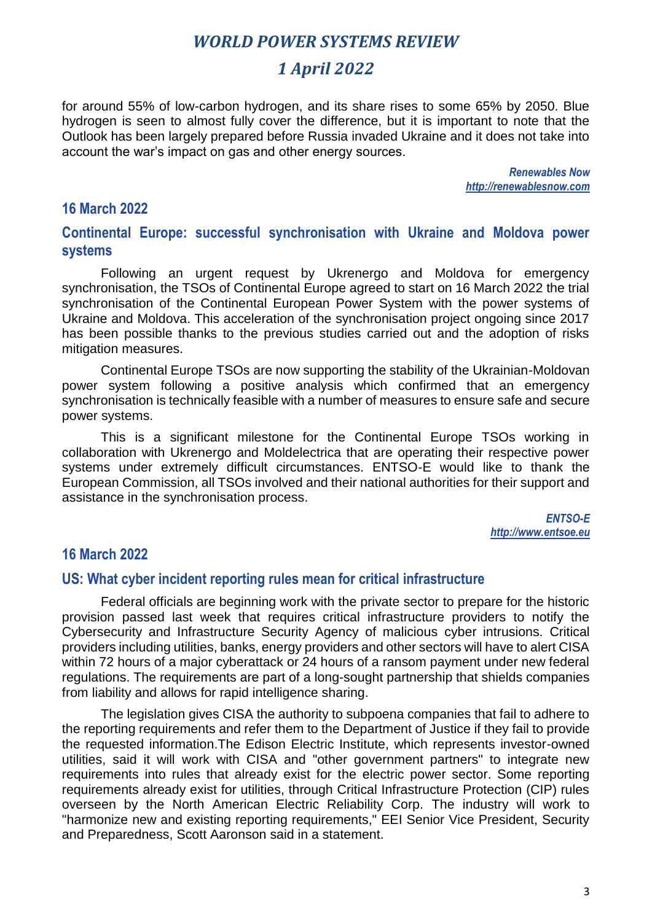## *1 April 2022*

for around 55% of low-carbon hydrogen, and its share rises to some 65% by 2050. Blue hydrogen is seen to almost fully cover the difference, but it is important to note that the Outlook has been largely prepared before Russia invaded Ukraine and it does not take into account the war's impact on gas and other energy sources.

> *Renewables Now http://renewablesnow.com*

#### **16 March 2022**

**Continental Europe: successful synchronisation with Ukraine and Moldova power systems**

Following an urgent request by Ukrenergo and Moldova for emergency synchronisation, the TSOs of Continental Europe agreed to start on 16 March 2022 the trial synchronisation of the Continental European Power System with the power systems of Ukraine and Moldova. This acceleration of the synchronisation project ongoing since 2017 has been possible thanks to the previous studies carried out and the adoption of risks mitigation measures.

Continental Europe TSOs are now supporting the stability of the Ukrainian-Moldovan power system following a positive analysis which confirmed that an emergency synchronisation is technically feasible with a number of measures to ensure safe and secure power systems.

This is a significant milestone for the Continental Europe TSOs working in collaboration with Ukrenergo and Moldelectrica that are operating their respective power systems under extremely difficult circumstances. ENTSO-E would like to thank the European Commission, all TSOs involved and their national authorities for their support and assistance in the synchronisation process.

> *ENTSO-E http://www.entsoe.eu*

#### **16 March 2022**

#### **US: What cyber incident reporting rules mean for critical infrastructure**

Federal officials are beginning work with the private sector to prepare for the historic provision passed last week that requires critical infrastructure providers to notify the Cybersecurity and Infrastructure Security Agency of malicious cyber intrusions. Critical providers including utilities, banks, energy providers and other sectors will have to alert CISA within 72 hours of a major cyberattack or 24 hours of a ransom payment under new federal regulations. The requirements are part of a long-sought partnership that shields companies from liability and allows for rapid intelligence sharing.

The legislation gives CISA the authority to subpoena companies that fail to adhere to the reporting requirements and refer them to the Department of Justice if they fail to provide the requested information.The Edison Electric Institute, which represents investor-owned utilities, said it will work with CISA and "other government partners" to integrate new requirements into rules that already exist for the electric power sector. Some reporting requirements already exist for utilities, through Critical Infrastructure Protection (CIP) rules overseen by the North American Electric Reliability Corp. The industry will work to "harmonize new and existing reporting requirements," EEI Senior Vice President, Security and Preparedness, Scott Aaronson said in a statement.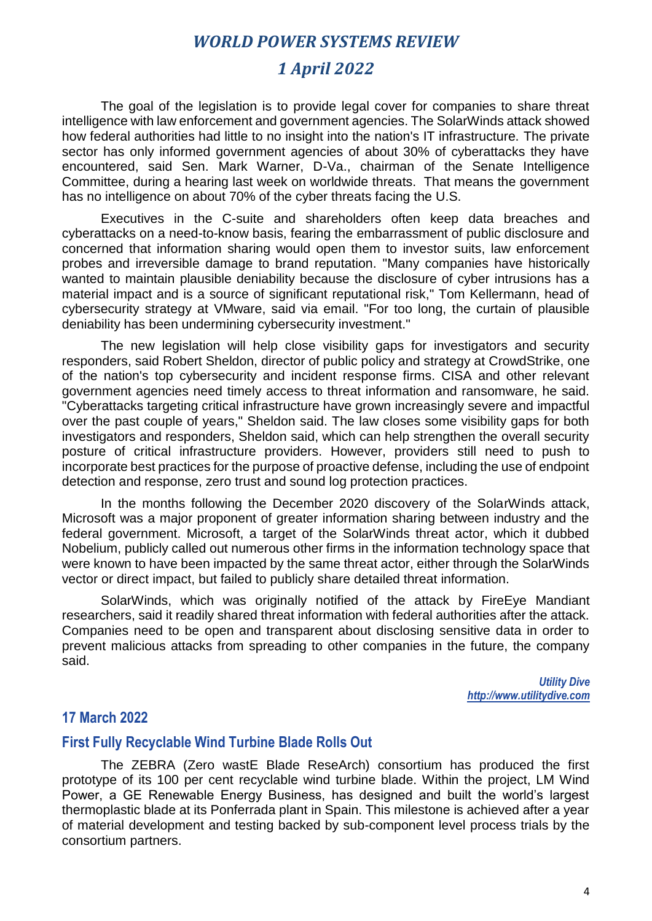### *1 April 2022*

The goal of the legislation is to provide legal cover for companies to share threat intelligence with law enforcement and government agencies. The SolarWinds attack showed how federal authorities had little to no insight into the nation's IT infrastructure. The private sector has only informed government agencies of about 30% of cyberattacks they have encountered, said Sen. Mark Warner, D-Va., chairman of the Senate Intelligence Committee, during a hearing last week on worldwide threats. That means the government has no intelligence on about 70% of the cyber threats facing the U.S.

Executives in the C-suite and shareholders often keep data breaches and cyberattacks on a need-to-know basis, fearing the embarrassment of public disclosure and concerned that information sharing would open them to investor suits, law enforcement probes and irreversible damage to brand reputation. "Many companies have historically wanted to maintain plausible deniability because the disclosure of cyber intrusions has a material impact and is a source of significant reputational risk," Tom Kellermann, head of cybersecurity strategy at VMware, said via email. "For too long, the curtain of plausible deniability has been undermining cybersecurity investment."

The new legislation will help close visibility gaps for investigators and security responders, said Robert Sheldon, director of public policy and strategy at CrowdStrike, one of the nation's top cybersecurity and incident response firms. CISA and other relevant government agencies need timely access to threat information and ransomware, he said. "Cyberattacks targeting critical infrastructure have grown increasingly severe and impactful over the past couple of years," Sheldon said. The law closes some visibility gaps for both investigators and responders, Sheldon said, which can help strengthen the overall security posture of critical infrastructure providers. However, providers still need to push to incorporate best practices for the purpose of proactive defense, including the use of endpoint detection and response, zero trust and sound log protection practices.

In the months following the December 2020 discovery of the SolarWinds attack, Microsoft was a major proponent of greater information sharing between industry and the federal government. Microsoft, a target of the SolarWinds threat actor, which it dubbed Nobelium, publicly called out numerous other firms in the information technology space that were known to have been impacted by the same threat actor, either through the SolarWinds vector or direct impact, but failed to publicly share detailed threat information.

SolarWinds, which was originally notified of the attack by FireEye Mandiant researchers, said it readily shared threat information with federal authorities after the attack. Companies need to be open and transparent about disclosing sensitive data in order to prevent malicious attacks from spreading to other companies in the future, the company said.

> *Utility Dive http://www.utilitydive.com*

#### **17 March 2022**

#### **First Fully Recyclable Wind Turbine Blade Rolls Out**

The ZEBRA (Zero wastE Blade ReseArch) consortium has produced the first prototype of its 100 per cent recyclable wind turbine blade. Within the project, LM Wind Power, a GE Renewable Energy Business, has designed and built the world's largest thermoplastic blade at its Ponferrada plant in Spain. This milestone is achieved after a year of material development and testing backed by sub-component level process trials by the consortium partners.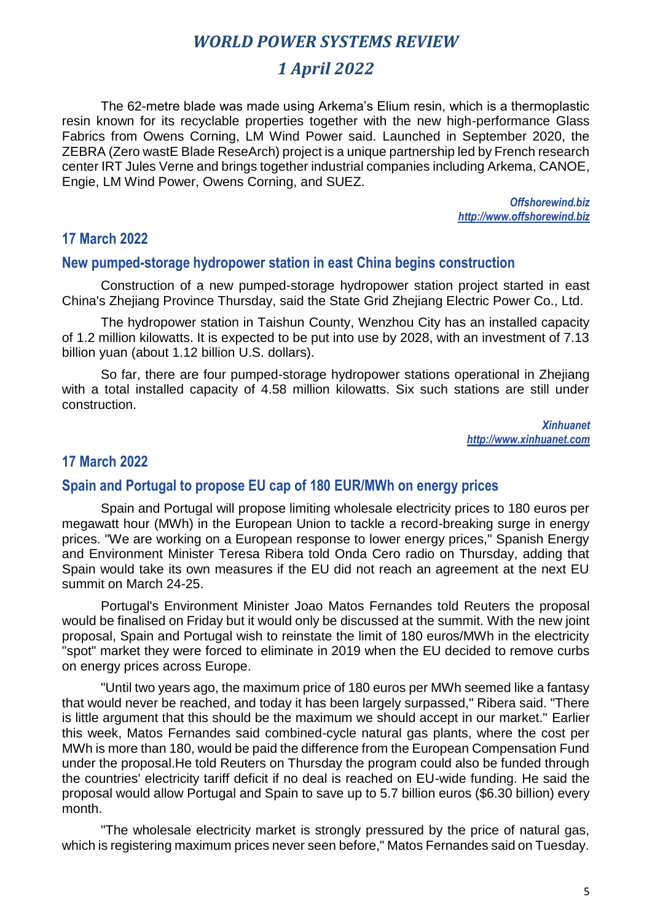## *1 April 2022*

The 62-metre blade was made using Arkema's Elium resin, which is a thermoplastic resin known for its recyclable properties together with the new high-performance Glass Fabrics from Owens Corning, LM Wind Power said. Launched in September 2020, the ZEBRA (Zero wastE Blade ReseArch) project is a unique partnership led by French research center IRT Jules Verne and brings together industrial companies including Arkema, CANOE, Engie, LM Wind Power, Owens Corning, and SUEZ.

> *Offshorewind.biz http://www.offshorewind.biz*

#### **17 March 2022**

#### **New pumped-storage hydropower station in east China begins construction**

Construction of a new pumped-storage hydropower station project started in east China's Zhejiang Province Thursday, said the State Grid Zhejiang Electric Power Co., Ltd.

The hydropower station in Taishun County, Wenzhou City has an installed capacity of 1.2 million kilowatts. It is expected to be put into use by 2028, with an investment of 7.13 billion yuan (about 1.12 billion U.S. dollars).

So far, there are four pumped-storage hydropower stations operational in Zhejiang with a total installed capacity of 4.58 million kilowatts. Six such stations are still under construction.

> *Xinhuanet http://www.xinhuanet.com*

#### **17 March 2022**

#### **Spain and Portugal to propose EU cap of 180 EUR/MWh on energy prices**

Spain and Portugal will propose limiting wholesale electricity prices to 180 euros per megawatt hour (MWh) in the European Union to tackle a record-breaking surge in energy prices. "We are working on a European response to lower energy prices," Spanish Energy and Environment Minister Teresa Ribera told Onda Cero radio on Thursday, adding that Spain would take its own measures if the EU did not reach an agreement at the next EU summit on March 24-25.

Portugal's Environment Minister Joao Matos Fernandes told Reuters the proposal would be finalised on Friday but it would only be discussed at the summit. With the new joint proposal, Spain and Portugal wish to reinstate the limit of 180 euros/MWh in the electricity "spot" market they were forced to eliminate in 2019 when the EU decided to remove curbs on energy prices across Europe.

"Until two years ago, the maximum price of 180 euros per MWh seemed like a fantasy that would never be reached, and today it has been largely surpassed," Ribera said. "There is little argument that this should be the maximum we should accept in our market." Earlier this week, Matos Fernandes said combined-cycle natural gas plants, where the cost per MWh is more than 180, would be paid the difference from the European Compensation Fund under the proposal.He told Reuters on Thursday the program could also be funded through the countries' electricity tariff deficit if no deal is reached on EU-wide funding. He said the proposal would allow Portugal and Spain to save up to 5.7 billion euros (\$6.30 billion) every month.

"The wholesale electricity market is strongly pressured by the price of natural gas, which is registering maximum prices never seen before." Matos Fernandes said on Tuesday.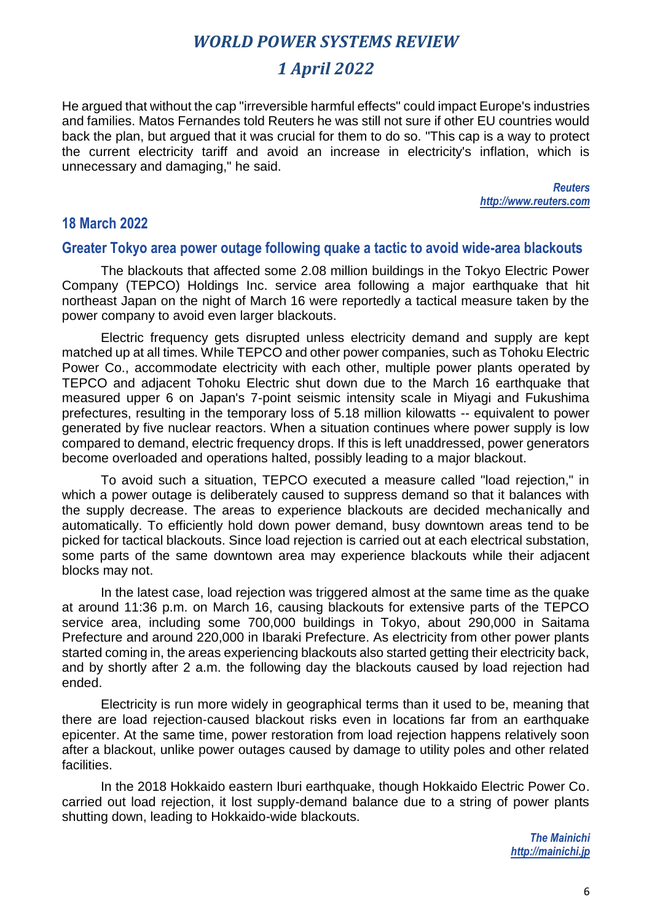## *1 April 2022*

He argued that without the cap "irreversible harmful effects" could impact Europe's industries and families. Matos Fernandes told Reuters he was still not sure if other EU countries would back the plan, but argued that it was crucial for them to do so. "This cap is a way to protect the current electricity tariff and avoid an increase in electricity's inflation, which is unnecessary and damaging," he said.

> *Reuters http://www.reuters.com*

#### **18 March 2022**

#### **Greater Tokyo area power outage following quake a tactic to avoid wide-area blackouts**

The blackouts that affected some 2.08 million buildings in the Tokyo Electric Power Company (TEPCO) Holdings Inc. service area following a major earthquake that hit northeast Japan on the night of March 16 were reportedly a tactical measure taken by the power company to avoid even larger blackouts.

Electric frequency gets disrupted unless electricity demand and supply are kept matched up at all times. While TEPCO and other power companies, such as Tohoku Electric Power Co., accommodate electricity with each other, multiple power plants operated by TEPCO and adjacent Tohoku Electric shut down due to the March 16 earthquake that measured upper 6 on Japan's 7-point seismic intensity scale in Miyagi and Fukushima prefectures, resulting in the temporary loss of 5.18 million kilowatts -- equivalent to power generated by five nuclear reactors. When a situation continues where power supply is low compared to demand, electric frequency drops. If this is left unaddressed, power generators become overloaded and operations halted, possibly leading to a major blackout.

To avoid such a situation, TEPCO executed a measure called "load rejection," in which a power outage is deliberately caused to suppress demand so that it balances with the supply decrease. The areas to experience blackouts are decided mechanically and automatically. To efficiently hold down power demand, busy downtown areas tend to be picked for tactical blackouts. Since load rejection is carried out at each electrical substation, some parts of the same downtown area may experience blackouts while their adjacent blocks may not.

In the latest case, load rejection was triggered almost at the same time as the quake at around 11:36 p.m. on March 16, causing blackouts for extensive parts of the TEPCO service area, including some 700,000 buildings in Tokyo, about 290,000 in Saitama Prefecture and around 220,000 in Ibaraki Prefecture. As electricity from other power plants started coming in, the areas experiencing blackouts also started getting their electricity back, and by shortly after 2 a.m. the following day the blackouts caused by load rejection had ended.

Electricity is run more widely in geographical terms than it used to be, meaning that there are load rejection-caused blackout risks even in locations far from an earthquake epicenter. At the same time, power restoration from load rejection happens relatively soon after a blackout, unlike power outages caused by damage to utility poles and other related **facilities** 

In the 2018 Hokkaido eastern Iburi earthquake, though Hokkaido Electric Power Co. carried out load rejection, it lost supply-demand balance due to a string of power plants shutting down, leading to Hokkaido-wide blackouts.

> *The Mainichi http://mainichi.jp*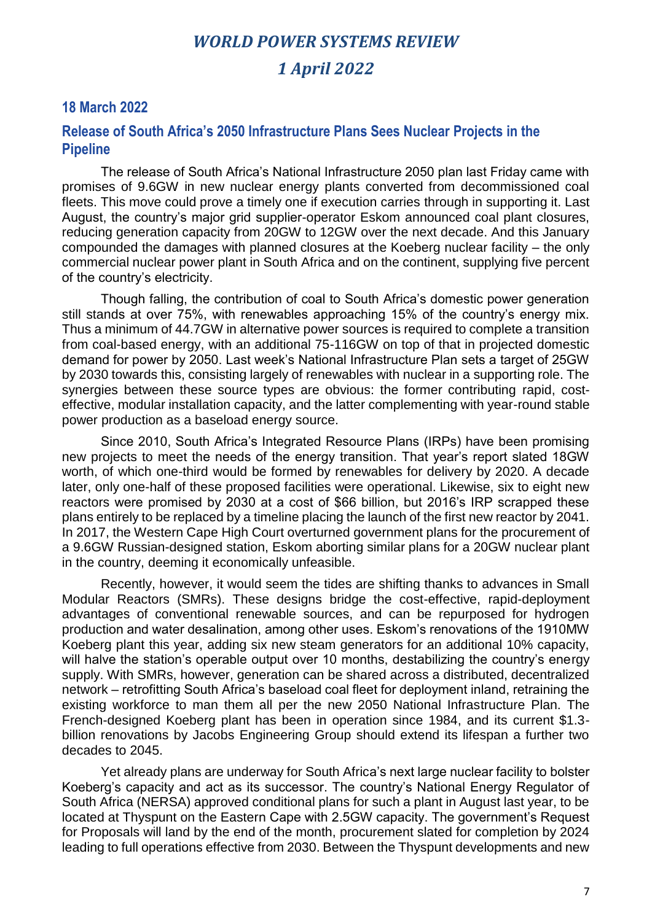#### **18 March 2022**

#### **Release of South Africa's 2050 Infrastructure Plans Sees Nuclear Projects in the Pipeline**

The release of South Africa's National Infrastructure 2050 plan last Friday came with promises of 9.6GW in new nuclear energy plants converted from decommissioned coal fleets. This move could prove a timely one if execution carries through in supporting it. Last August, the country's major grid supplier-operator Eskom announced coal plant closures, reducing generation capacity from 20GW to 12GW over the next decade. And this January compounded the damages with planned closures at the Koeberg nuclear facility – the only commercial nuclear power plant in South Africa and on the continent, supplying five percent of the country's electricity.

Though falling, the contribution of coal to South Africa's domestic power generation still stands at over 75%, with renewables approaching 15% of the country's energy mix. Thus a minimum of 44.7GW in alternative power sources is required to complete a transition from coal-based energy, with an additional 75-116GW on top of that in projected domestic demand for power by 2050. Last week's National Infrastructure Plan sets a target of 25GW by 2030 towards this, consisting largely of renewables with nuclear in a supporting role. The synergies between these source types are obvious: the former contributing rapid, costeffective, modular installation capacity, and the latter complementing with year-round stable power production as a baseload energy source.

Since 2010, South Africa's Integrated Resource Plans (IRPs) have been promising new projects to meet the needs of the energy transition. That year's report slated 18GW worth, of which one-third would be formed by renewables for delivery by 2020. A decade later, only one-half of these proposed facilities were operational. Likewise, six to eight new reactors were promised by 2030 at a cost of \$66 billion, but 2016's IRP scrapped these plans entirely to be replaced by a timeline placing the launch of the first new reactor by 2041. In 2017, the Western Cape High Court overturned government plans for the procurement of a 9.6GW Russian-designed station, Eskom aborting similar plans for a 20GW nuclear plant in the country, deeming it economically unfeasible.

Recently, however, it would seem the tides are shifting thanks to advances in Small Modular Reactors (SMRs). These designs bridge the cost-effective, rapid-deployment advantages of conventional renewable sources, and can be repurposed for hydrogen production and water desalination, among other uses. Eskom's renovations of the 1910MW Koeberg plant this year, adding six new steam generators for an additional 10% capacity, will halve the station's operable output over 10 months, destabilizing the country's energy supply. With SMRs, however, generation can be shared across a distributed, decentralized network – retrofitting South Africa's baseload coal fleet for deployment inland, retraining the existing workforce to man them all per the new 2050 National Infrastructure Plan. The French-designed Koeberg plant has been in operation since 1984, and its current \$1.3 billion renovations by Jacobs Engineering Group should extend its lifespan a further two decades to 2045.

Yet already plans are underway for South Africa's next large nuclear facility to bolster Koeberg's capacity and act as its successor. The country's National Energy Regulator of South Africa (NERSA) approved conditional plans for such a plant in August last year, to be located at Thyspunt on the Eastern Cape with 2.5GW capacity. The government's Request for Proposals will land by the end of the month, procurement slated for completion by 2024 leading to full operations effective from 2030. Between the Thyspunt developments and new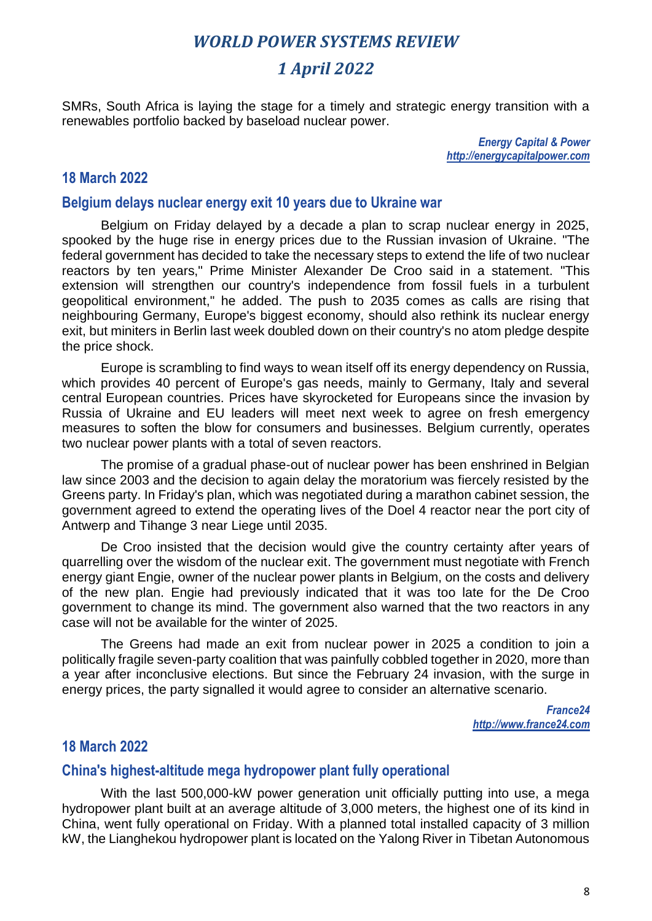## *1 April 2022*

SMRs, South Africa is laying the stage for a timely and strategic energy transition with a renewables portfolio backed by baseload nuclear power.

> *Energy Capital & Power http://energycapitalpower.com*

#### **18 March 2022**

#### **Belgium delays nuclear energy exit 10 years due to Ukraine war**

Belgium on Friday delayed by a decade a plan to scrap nuclear energy in 2025, spooked by the huge rise in energy prices due to the Russian invasion of Ukraine. "The federal government has decided to take the necessary steps to extend the life of two nuclear reactors by ten years," Prime Minister Alexander De Croo said in a statement. "This extension will strengthen our country's independence from fossil fuels in a turbulent geopolitical environment," he added. The push to 2035 comes as calls are rising that neighbouring Germany, Europe's biggest economy, should also rethink its nuclear energy exit, but miniters in Berlin last week doubled down on their country's no atom pledge despite the price shock.

Europe is scrambling to find ways to wean itself off its energy dependency on Russia, which provides 40 percent of Europe's gas needs, mainly to Germany, Italy and several central European countries. Prices have skyrocketed for Europeans since the invasion by Russia of Ukraine and EU leaders will meet next week to agree on fresh emergency measures to soften the blow for consumers and businesses. Belgium currently, operates two nuclear power plants with a total of seven reactors.

The promise of a gradual phase-out of nuclear power has been enshrined in Belgian law since 2003 and the decision to again delay the moratorium was fiercely resisted by the Greens party. In Friday's plan, which was negotiated during a marathon cabinet session, the government agreed to extend the operating lives of the Doel 4 reactor near the port city of Antwerp and Tihange 3 near Liege until 2035.

De Croo insisted that the decision would give the country certainty after years of quarrelling over the wisdom of the nuclear exit. The government must negotiate with French energy giant Engie, owner of the nuclear power plants in Belgium, on the costs and delivery of the new plan. Engie had previously indicated that it was too late for the De Croo government to change its mind. The government also warned that the two reactors in any case will not be available for the winter of 2025.

The Greens had made an exit from nuclear power in 2025 a condition to join a politically fragile seven-party coalition that was painfully cobbled together in 2020, more than a year after inconclusive elections. But since the February 24 invasion, with the surge in energy prices, the party signalled it would agree to consider an alternative scenario.

> *France24 http://www.france24.com*

#### **18 March 2022**

#### **China's highest-altitude mega hydropower plant fully operational**

With the last 500,000-kW power generation unit officially putting into use, a mega hydropower plant built at an average altitude of 3,000 meters, the highest one of its kind in China, went fully operational on Friday. With a planned total installed capacity of 3 million kW, the Lianghekou hydropower plant is located on the Yalong River in Tibetan Autonomous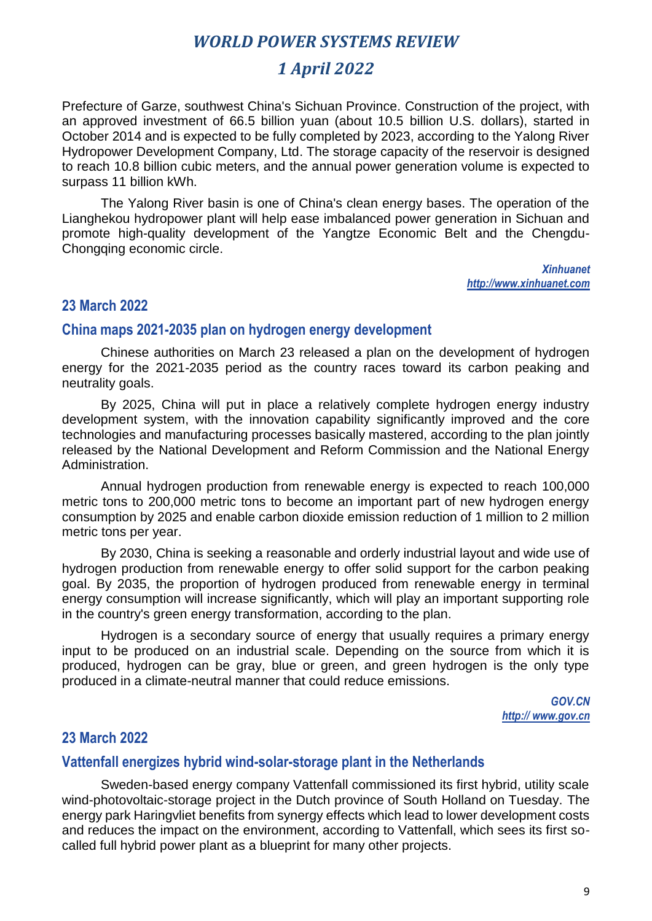## *1 April 2022*

Prefecture of Garze, southwest China's Sichuan Province. Construction of the project, with an approved investment of 66.5 billion yuan (about 10.5 billion U.S. dollars), started in October 2014 and is expected to be fully completed by 2023, according to the Yalong River Hydropower Development Company, Ltd. The storage capacity of the reservoir is designed to reach 10.8 billion cubic meters, and the annual power generation volume is expected to surpass 11 billion kWh.

The Yalong River basin is one of China's clean energy bases. The operation of the Lianghekou hydropower plant will help ease imbalanced power generation in Sichuan and promote high-quality development of the Yangtze Economic Belt and the Chengdu-Chongqing economic circle.

> *Xinhuanet http://www.xinhuanet.com*

#### **23 March 2022**

#### **China maps 2021-2035 plan on hydrogen energy development**

Chinese authorities on March 23 released a plan on the development of hydrogen energy for the 2021-2035 period as the country races toward its carbon peaking and neutrality goals.

By 2025, China will put in place a relatively complete hydrogen energy industry development system, with the innovation capability significantly improved and the core technologies and manufacturing processes basically mastered, according to the plan jointly released by the National Development and Reform Commission and the National Energy Administration.

Annual hydrogen production from renewable energy is expected to reach 100,000 metric tons to 200,000 metric tons to become an important part of new hydrogen energy consumption by 2025 and enable carbon dioxide emission reduction of 1 million to 2 million metric tons per year.

By 2030, China is seeking a reasonable and orderly industrial layout and wide use of hydrogen production from renewable energy to offer solid support for the carbon peaking goal. By 2035, the proportion of hydrogen produced from renewable energy in terminal energy consumption will increase significantly, which will play an important supporting role in the country's green energy transformation, according to the plan.

Hydrogen is a secondary source of energy that usually requires a primary energy input to be produced on an industrial scale. Depending on the source from which it is produced, hydrogen can be gray, blue or green, and green hydrogen is the only type produced in a climate-neutral manner that could reduce emissions.

> *GOV.CN http:// www.gov.cn*

#### **23 March 2022**

#### **Vattenfall energizes hybrid wind-solar-storage plant in the Netherlands**

Sweden-based energy company Vattenfall commissioned its first hybrid, utility scale wind-photovoltaic-storage project in the Dutch province of South Holland on Tuesday. The energy park Haringvliet benefits from synergy effects which lead to lower development costs and reduces the impact on the environment, according to Vattenfall, which sees its first socalled full hybrid power plant as a blueprint for many other projects.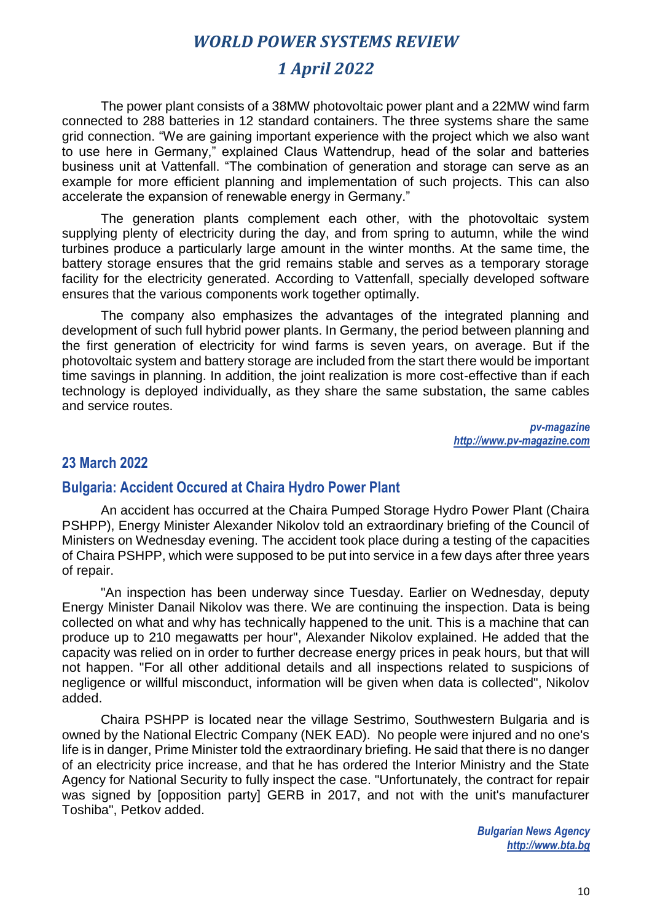## *1 April 2022*

The power plant consists of a 38MW photovoltaic power plant and a 22MW wind farm connected to 288 batteries in 12 standard containers. The three systems share the same grid connection. "We are gaining important experience with the project which we also want to use here in Germany," explained Claus Wattendrup, head of the solar and batteries business unit at Vattenfall. "The combination of generation and storage can serve as an example for more efficient planning and implementation of such projects. This can also accelerate the expansion of renewable energy in Germany."

The generation plants complement each other, with the photovoltaic system supplying plenty of electricity during the day, and from spring to autumn, while the wind turbines produce a particularly large amount in the winter months. At the same time, the battery storage ensures that the grid remains stable and serves as a temporary storage facility for the electricity generated. According to Vattenfall, specially developed software ensures that the various components work together optimally.

The company also emphasizes the advantages of the integrated planning and development of such full hybrid power plants. In Germany, the period between planning and the first generation of electricity for wind farms is seven years, on average. But if the photovoltaic system and battery storage are included from the start there would be important time savings in planning. In addition, the joint realization is more cost-effective than if each technology is deployed individually, as they share the same substation, the same cables and service routes.

> *pv-magazine [http://www.pv-magazine.com](http://www.pv-magazine.com/)*

#### **23 March 2022**

#### **Bulgaria: Accident Occured at Chaira Hydro Power Plant**

An accident has occurred at the Chaira Pumped Storage Hydro Power Plant (Chaira PSHPP), Energy Minister Alexander Nikolov told an extraordinary briefing of the Council of Ministers on Wednesday evening. The accident took place during a testing of the capacities of Chaira PSHPP, which were supposed to be put into service in a few days after three years of repair.

"An inspection has been underway since Tuesday. Earlier on Wednesday, deputy Energy Minister Danail Nikolov was there. We are continuing the inspection. Data is being collected on what and why has technically happened to the unit. This is a machine that can produce up to 210 megawatts per hour", Alexander Nikolov explained. He added that the capacity was relied on in order to further decrease energy prices in peak hours, but that will not happen. "For all other additional details and all inspections related to suspicions of negligence or willful misconduct, information will be given when data is collected", Nikolov added.

Chaira PSHPP is located near the village Sestrimo, Southwestern Bulgaria and is owned by the National Electric Company (NEK EAD). No people were injured and no one's life is in danger, Prime Minister told the extraordinary briefing. He said that there is no danger of an electricity price increase, and that he has ordered the Interior Ministry and the State Agency for National Security to fully inspect the case. "Unfortunately, the contract for repair was signed by [opposition party] GERB in 2017, and not with the unit's manufacturer Toshiba", Petkov added.

> *Bulgarian News Agency http://www.bta.bg*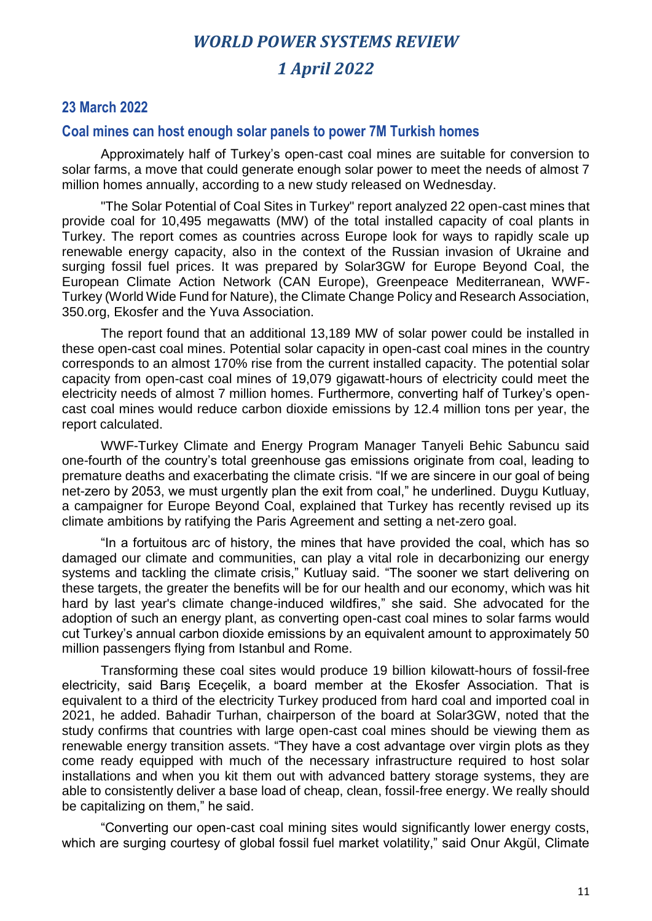#### **23 March 2022**

#### **Coal mines can host enough solar panels to power 7M Turkish homes**

Approximately half of Turkey's open-cast coal mines are suitable for conversion to solar farms, a move that could generate enough solar power to meet the needs of almost 7 million homes annually, according to a new study released on Wednesday.

"The Solar Potential of Coal Sites in Turkey" report analyzed 22 open-cast mines that provide coal for 10,495 megawatts (MW) of the total installed capacity of coal plants in Turkey. The report comes as countries across Europe look for ways to rapidly scale up renewable energy capacity, also in the context of the Russian invasion of Ukraine and surging fossil fuel prices. It was prepared by Solar3GW for Europe Beyond Coal, the European Climate Action Network (CAN Europe), Greenpeace Mediterranean, WWF-Turkey (World Wide Fund for Nature), the Climate Change Policy and Research Association, 350.org, Ekosfer and the Yuva Association.

The report found that an additional 13,189 MW of solar power could be installed in these open-cast coal mines. Potential solar capacity in open-cast coal mines in the country corresponds to an almost 170% rise from the current installed capacity. The potential solar capacity from open-cast coal mines of 19,079 gigawatt-hours of electricity could meet the electricity needs of almost 7 million homes. Furthermore, converting half of Turkey's opencast coal mines would reduce carbon dioxide emissions by 12.4 million tons per year, the report calculated.

WWF-Turkey Climate and Energy Program Manager Tanyeli Behic Sabuncu said one-fourth of the country's total greenhouse gas emissions originate from coal, leading to premature deaths and exacerbating the climate crisis. "If we are sincere in our goal of being net-zero by 2053, we must urgently plan the exit from coal," he underlined. Duygu Kutluay, a campaigner for Europe Beyond Coal, explained that Turkey has recently revised up its climate ambitions by ratifying the Paris Agreement and setting a net-zero goal.

"In a fortuitous arc of history, the mines that have provided the coal, which has so damaged our climate and communities, can play a vital role in decarbonizing our energy systems and tackling the climate crisis," Kutluay said. "The sooner we start delivering on these targets, the greater the benefits will be for our health and our economy, which was hit hard by last year's climate change-induced wildfires," she said. She advocated for the adoption of such an energy plant, as converting open-cast coal mines to solar farms would cut Turkey's annual carbon dioxide emissions by an equivalent amount to approximately 50 million passengers flying from Istanbul and Rome.

Transforming these coal sites would produce 19 billion kilowatt-hours of fossil-free electricity, said Barış Eceçelik, a board member at the Ekosfer Association. That is equivalent to a third of the electricity Turkey produced from hard coal and imported coal in 2021, he added. Bahadir Turhan, chairperson of the board at Solar3GW, noted that the study confirms that countries with large open-cast coal mines should be viewing them as renewable energy transition assets. "They have a cost advantage over virgin plots as they come ready equipped with much of the necessary infrastructure required to host solar installations and when you kit them out with advanced battery storage systems, they are able to consistently deliver a base load of cheap, clean, fossil-free energy. We really should be capitalizing on them," he said.

"Converting our open-cast coal mining sites would significantly lower energy costs, which are surging courtesy of global fossil fuel market volatility," said Onur Akgül, Climate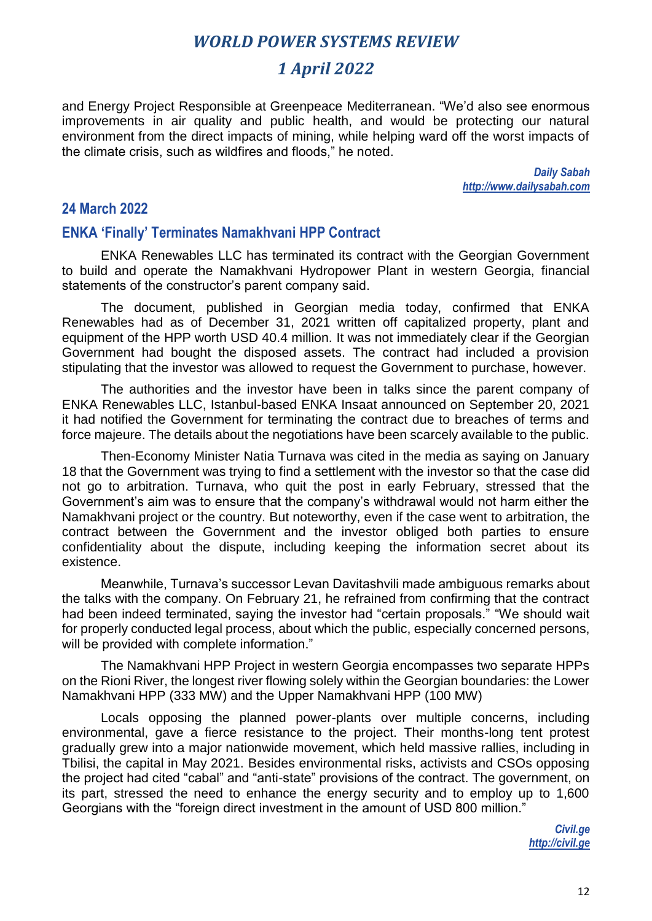## *1 April 2022*

and Energy Project Responsible at Greenpeace Mediterranean. "We'd also see enormous improvements in air quality and public health, and would be protecting our natural environment from the direct impacts of mining, while helping ward off the worst impacts of the climate crisis, such as wildfires and floods," he noted.

> *Daily Sabah http://www.dailysabah.com*

#### **24 March 2022**

#### **ENKA 'Finally' Terminates Namakhvani HPP Contract**

ENKA Renewables LLC has terminated its contract with the Georgian Government to build and operate the Namakhvani Hydropower Plant in western Georgia, financial statements of the constructor's parent company said.

The document, published in Georgian media today, confirmed that ENKA Renewables had as of December 31, 2021 written off capitalized property, plant and equipment of the HPP worth USD 40.4 million. It was not immediately clear if the Georgian Government had bought the disposed assets. The contract had included a provision stipulating that the investor was allowed to request the Government to purchase, however.

The authorities and the investor have been in talks since the parent company of ENKA Renewables LLC, Istanbul-based ENKA Insaat announced on September 20, 2021 it had notified the Government for terminating the contract due to breaches of terms and force majeure. The details about the negotiations have been scarcely available to the public.

Then-Economy Minister Natia Turnava was cited in the media as saying on January 18 that the Government was trying to find a settlement with the investor so that the case did not go to arbitration. Turnava, who quit the post in early February, stressed that the Government's aim was to ensure that the company's withdrawal would not harm either the Namakhvani project or the country. But noteworthy, even if the case went to arbitration, the contract between the Government and the investor obliged both parties to ensure confidentiality about the dispute, including keeping the information secret about its existence.

Meanwhile, Turnava's successor Levan Davitashvili made ambiguous remarks about the talks with the company. On February 21, he refrained from confirming that the contract had been indeed terminated, saying the investor had "certain proposals." "We should wait for properly conducted legal process, about which the public, especially concerned persons, will be provided with complete information."

The Namakhvani HPP Project in western Georgia encompasses two separate HPPs on the Rioni River, the longest river flowing solely within the Georgian boundaries: the Lower Namakhvani HPP (333 MW) and the Upper Namakhvani HPP (100 MW)

Locals opposing the planned power-plants over multiple concerns, including environmental, gave a fierce resistance to the project. Their months-long tent protest gradually grew into a major nationwide movement, which held massive rallies, including in Tbilisi, the capital in May 2021. Besides environmental risks, activists and CSOs opposing the project had cited "cabal" and "anti-state" provisions of the contract. The government, on its part, stressed the need to enhance the energy security and to employ up to 1,600 Georgians with the "foreign direct investment in the amount of USD 800 million."

> *Civil.ge http://civil.ge*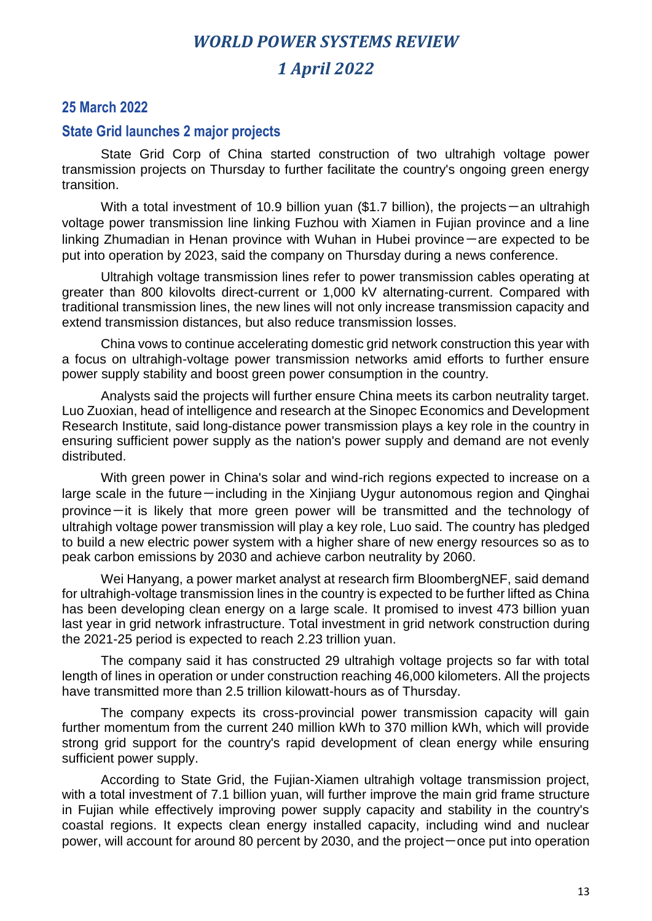#### **25 March 2022**

#### **State Grid launches 2 major projects**

State Grid Corp of China started construction of two ultrahigh voltage power transmission projects on Thursday to further facilitate the country's ongoing green energy transition.

With a total investment of 10.9 billion yuan (\$1.7 billion), the projects — an ultrahigh voltage power transmission line linking Fuzhou with Xiamen in Fujian province and a line linking Zhumadian in Henan province with Wuhan in Hubei province — are expected to be put into operation by 2023, said the company on Thursday during a news conference.

Ultrahigh voltage transmission lines refer to power transmission cables operating at greater than 800 kilovolts direct-current or 1,000 kV alternating-current. Compared with traditional transmission lines, the new lines will not only increase transmission capacity and extend transmission distances, but also reduce transmission losses.

China vows to continue accelerating domestic grid network construction this year with a focus on ultrahigh-voltage power transmission networks amid efforts to further ensure power supply stability and boost green power consumption in the country.

Analysts said the projects will further ensure China meets its carbon neutrality target. Luo Zuoxian, head of intelligence and research at the Sinopec Economics and Development Research Institute, said long-distance power transmission plays a key role in the country in ensuring sufficient power supply as the nation's power supply and demand are not evenly distributed.

With green power in China's solar and wind-rich regions expected to increase on a large scale in the future-including in the Xinjiang Uygur autonomous region and Qinghai province-it is likely that more green power will be transmitted and the technology of ultrahigh voltage power transmission will play a key role, Luo said. The country has pledged to build a new electric power system with a higher share of new energy resources so as to peak carbon emissions by 2030 and achieve carbon neutrality by 2060.

Wei Hanyang, a power market analyst at research firm BloombergNEF, said demand for ultrahigh-voltage transmission lines in the country is expected to be further lifted as China has been developing clean energy on a large scale. It promised to invest 473 billion yuan last year in grid network infrastructure. Total investment in grid network construction during the 2021-25 period is expected to reach 2.23 trillion yuan.

The company said it has constructed 29 ultrahigh voltage projects so far with total length of lines in operation or under construction reaching 46,000 kilometers. All the projects have transmitted more than 2.5 trillion kilowatt-hours as of Thursday.

The company expects its cross-provincial power transmission capacity will gain further momentum from the current 240 million kWh to 370 million kWh, which will provide strong grid support for the country's rapid development of clean energy while ensuring sufficient power supply.

According to State Grid, the Fujian-Xiamen ultrahigh voltage transmission project, with a total investment of 7.1 billion yuan, will further improve the main grid frame structure in Fujian while effectively improving power supply capacity and stability in the country's coastal regions. It expects clean energy installed capacity, including wind and nuclear power, will account for around 80 percent by 2030, and the project-once put into operation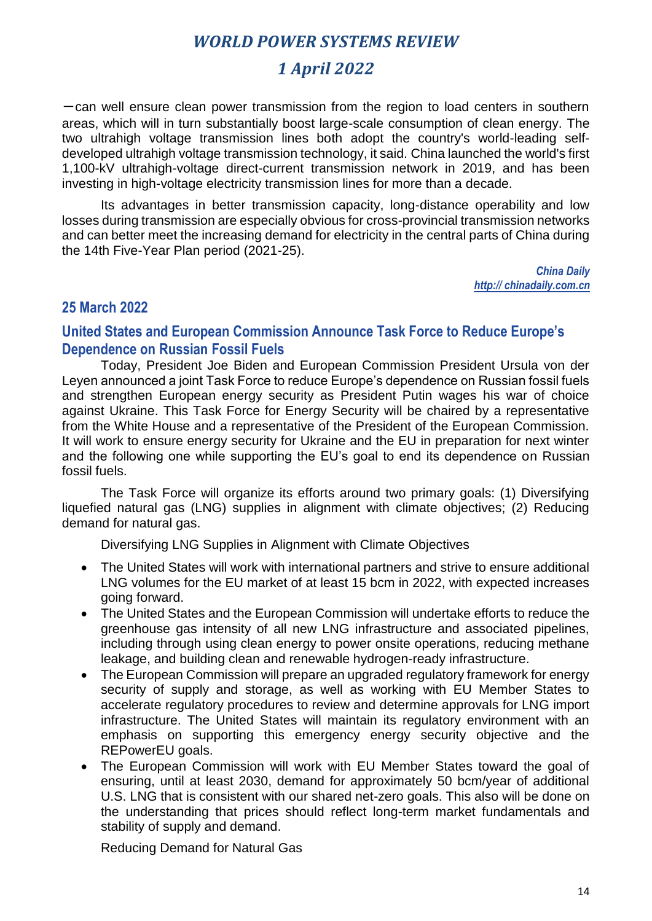## *1 April 2022*

 $-$ can well ensure clean power transmission from the region to load centers in southern areas, which will in turn substantially boost large-scale consumption of clean energy. The two ultrahigh voltage transmission lines both adopt the country's world-leading selfdeveloped ultrahigh voltage transmission technology, it said. China launched the world's first 1,100-kV ultrahigh-voltage direct-current transmission network in 2019, and has been investing in high-voltage electricity transmission lines for more than a decade.

Its advantages in better transmission capacity, long-distance operability and low losses during transmission are especially obvious for cross-provincial transmission networks and can better meet the increasing demand for electricity in the central parts of China during the 14th Five-Year Plan period (2021-25).

> *China Daily http:// chinadaily.com.cn*

#### **25 March 2022**

### **United States and European Commission Announce Task Force to Reduce Europe's Dependence on Russian Fossil Fuels**

Today, President Joe Biden and European Commission President Ursula von der Leyen announced a joint Task Force to reduce Europe's dependence on Russian fossil fuels and strengthen European energy security as President Putin wages his war of choice against Ukraine. This Task Force for Energy Security will be chaired by a representative from the White House and a representative of the President of the European Commission. It will work to ensure energy security for Ukraine and the EU in preparation for next winter and the following one while supporting the EU's goal to end its dependence on Russian fossil fuels.

The Task Force will organize its efforts around two primary goals: (1) Diversifying liquefied natural gas (LNG) supplies in alignment with climate objectives; (2) Reducing demand for natural gas.

Diversifying LNG Supplies in Alignment with Climate Objectives

- The United States will work with international partners and strive to ensure additional LNG volumes for the EU market of at least 15 bcm in 2022, with expected increases going forward.
- The United States and the European Commission will undertake efforts to reduce the greenhouse gas intensity of all new LNG infrastructure and associated pipelines, including through using clean energy to power onsite operations, reducing methane leakage, and building clean and renewable hydrogen-ready infrastructure.
- The European Commission will prepare an upgraded regulatory framework for energy security of supply and storage, as well as working with EU Member States to accelerate regulatory procedures to review and determine approvals for LNG import infrastructure. The United States will maintain its regulatory environment with an emphasis on supporting this emergency energy security objective and the REPowerEU goals.
- The European Commission will work with EU Member States toward the goal of ensuring, until at least 2030, demand for approximately 50 bcm/year of additional U.S. LNG that is consistent with our shared net-zero goals. This also will be done on the understanding that prices should reflect long-term market fundamentals and stability of supply and demand.

Reducing Demand for Natural Gas